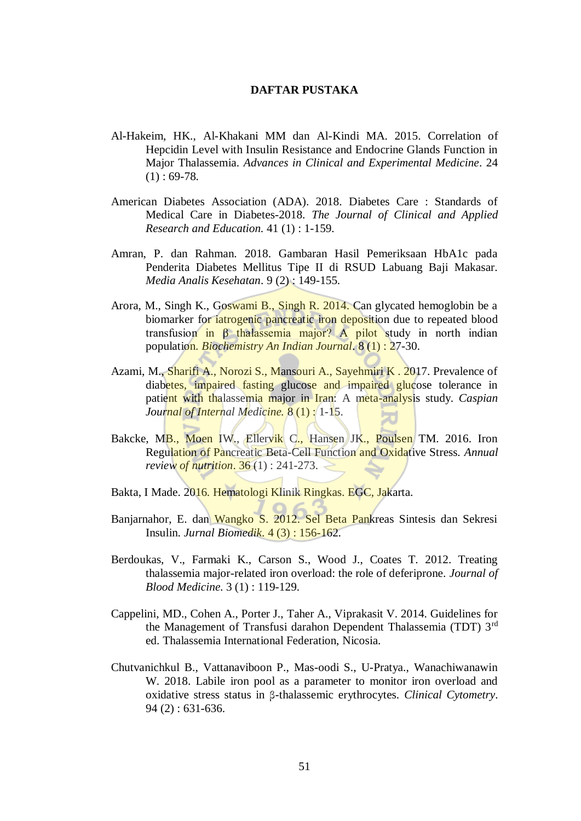## **DAFTAR PUSTAKA**

- Al-Hakeim, HK., Al-Khakani MM dan Al-Kindi MA. 2015. Correlation of Hepcidin Level with Insulin Resistance and Endocrine Glands Function in Major Thalassemia. *Advances in Clinical and Experimental Medicine*. 24  $(1)$ : 69-78.
- American Diabetes Association (ADA). 2018. Diabetes Care : Standards of Medical Care in Diabetes-2018. *The Journal of Clinical and Applied Research and Education.* 41 (1) : 1-159.
- Amran, P. dan Rahman. 2018. Gambaran Hasil Pemeriksaan HbA1c pada Penderita Diabetes Mellitus Tipe II di RSUD Labuang Baji Makasar. *Media Analis Kesehatan*. 9 (2) : 149-155.
- Arora, M., Singh K., Goswami B., Singh R. 2014. Can glycated hemoglobin be a biomarker for *iatrogenic* pancreatic iron deposition due to repeated blood transfusion in β thalassemia major? A pilot study in north indian population. *Biochemistry An Indian Journal*. 8 (1) : 27-30.
- Azami, M., Sharifi A., Norozi S., Mansouri A., Sayehmiri K . 2017. Prevalence of diabetes, impaired fasting glucose and impaired glucose tolerance in patient with thalassemia major in Iran: A meta-analysis study. *Caspian Journal of Internal Medicine.* 8 (1) : 1-15.
- Bakcke, MB., Moen IW., Ellervik C., Hansen JK., Poulsen TM. 2016. Iron Regulation of Pancreatic Beta-Cell Function and Oxidative Stress. *Annual review of nutrition*. 36 (1) : 241-273.
- Bakta, I Made. 2016. Hematologi Klinik Ringkas. EGC, Jakarta.
- Banjarnahor, E. dan Wangko S. 2012. Sel Beta Pankreas Sintesis dan Sekresi Insulin. *Jurnal Biomedik*. 4 (3) : 156-162.
- Berdoukas, V., Farmaki K., Carson S., Wood J., Coates T. 2012. Treating thalassemia major-related iron overload: the role of deferiprone. *Journal of Blood Medicine*. 3 (1) : 119-129.
- Cappelini, MD., Cohen A., Porter J., Taher A., Viprakasit V. 2014. Guidelines for the Management of Transfusi darahon Dependent Thalassemia (TDT) 3rd ed. Thalassemia International Federation, Nicosia.
- Chutvanichkul B., Vattanaviboon P., Mas-oodi S., U-Pratya., Wanachiwanawin W. 2018. Labile iron pool as a parameter to monitor iron overload and oxidative stress status in β-thalassemic erythrocytes. *Clinical Cytometry*. 94 (2) : 631-636.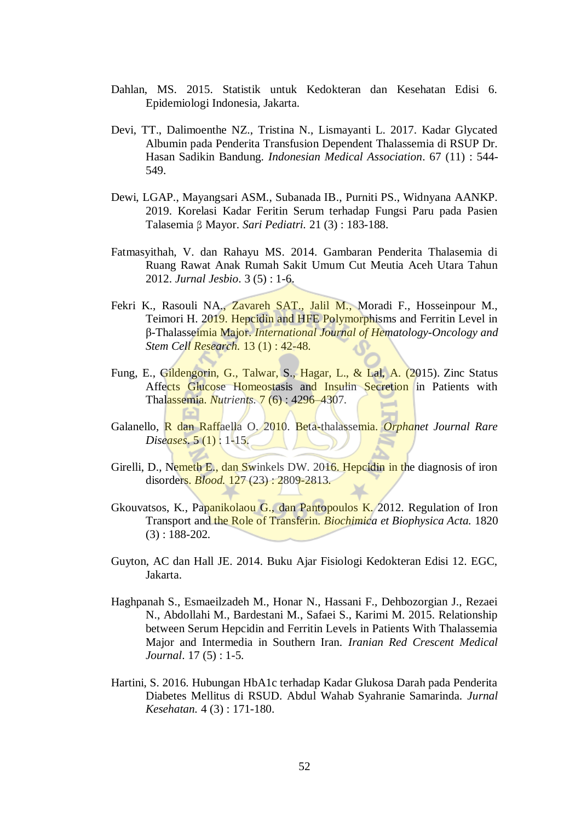- Dahlan, MS. 2015. Statistik untuk Kedokteran dan Kesehatan Edisi 6. Epidemiologi Indonesia, Jakarta.
- Devi, TT., Dalimoenthe NZ., Tristina N., Lismayanti L. 2017. Kadar Glycated Albumin pada Penderita Transfusion Dependent Thalassemia di RSUP Dr. Hasan Sadikin Bandung. *Indonesian Medical Association*. 67 (11) : 544- 549.
- Dewi, LGAP., Mayangsari ASM., Subanada IB., Purniti PS., Widnyana AANKP. 2019. Korelasi Kadar Feritin Serum terhadap Fungsi Paru pada Pasien Talasemia β Mayor. *Sari Pediatri.* 21 (3) : 183-188.
- Fatmasyithah, V. dan Rahayu MS. 2014. Gambaran Penderita Thalasemia di Ruang Rawat Anak Rumah Sakit Umum Cut Meutia Aceh Utara Tahun 2012. *Jurnal Jesbio*. 3 (5) : 1-6.
- Fekri K., Rasouli NA., Zavareh SAT., Jalil M., Moradi F., Hosseinpour M., Teimori H. 2019. Hepcidin and HFE Polymorphisms and Ferritin Level in β-Thalasseimia Major. *International Journal of Hematology-Oncology and Stem Cell Research.* 13 (1) : 42-48.
- Fung, E., Gildengorin, G., Talwar, S., Hagar, L., & Lal, A. (2015). Zinc Status Affects Glucose Homeostasis and Insulin Secretion in Patients with Thalassemia. *Nutrients.* 7 (6) : 4296–4307.
- Galanello, R dan Raffaella O. 2010. Beta-thalassemia. *Orphanet Journal Rare Diseases*. 5 (1) : 1-15.
- Girelli, D., Nemeth E., dan Swinkels DW. 2016. Hepcidin in the diagnosis of iron disorders. *Blood.* 127 (23) : 2809-2813.
- Gkouvatsos, K., Papanikolaou G., dan Pantopoulos K. 2012. Regulation of Iron Transport and the Role of Transferin. *Biochimica et Biophysica Acta.* 1820 (3) : 188-202.
- Guyton, AC dan Hall JE. 2014. Buku Ajar Fisiologi Kedokteran Edisi 12. EGC, Jakarta.
- Haghpanah S., Esmaeilzadeh M., Honar N., Hassani F., Dehbozorgian J., Rezaei N., Abdollahi M., Bardestani M., Safaei S., Karimi M. 2015. Relationship between Serum Hepcidin and Ferritin Levels in Patients With Thalassemia Major and Intermedia in Southern Iran. *Iranian Red Crescent Medical Journal*. 17 (5) : 1-5.
- Hartini, S. 2016. Hubungan HbA1c terhadap Kadar Glukosa Darah pada Penderita Diabetes Mellitus di RSUD. Abdul Wahab Syahranie Samarinda. *Jurnal Kesehatan.* 4 (3) : 171-180.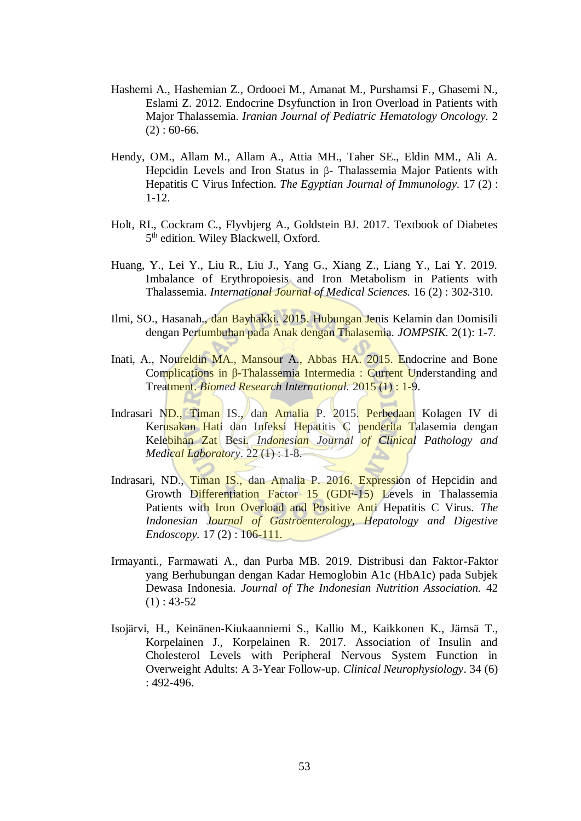- Hashemi A., Hashemian Z., Ordooei M., Amanat M., Purshamsi F., Ghasemi N., Eslami Z. 2012. Endocrine Dsyfunction in Iron Overload in Patients with Major Thalassemia. *Iranian Journal of Pediatric Hematology Oncology.* 2  $(2): 60-66.$
- Hendy, OM., Allam M., Allam A., Attia MH., Taher SE., Eldin MM., Ali A. Hepcidin Levels and Iron Status in β- Thalassemia Major Patients with Hepatitis C Virus Infection. *The Egyptian Journal of Immunology.* 17 (2) : 1-12.
- Holt, RI., Cockram C., Flyvbjerg A., Goldstein BJ. 2017. Textbook of Diabetes 5<sup>th</sup> edition. Wiley Blackwell, Oxford.
- Huang, Y., Lei Y., Liu R., Liu J., Yang G., Xiang Z., Liang Y., Lai Y. 2019. Imbalance of Erythropoiesis and Iron Metabolism in Patients with Thalassemia. *International Journal of Medical Sciences.* 16 (2) : 302-310.
- Ilmi, SO., Hasanah., dan Bayhakki. 2015. Hubungan Jenis Kelamin dan Domisili dengan Pertumbuhan pada Anak dengan Thalasemia. *JOMPSIK.* 2(1): 1-7.
- Inati, A., Noureldin MA., Mansour A., Abbas HA. 2015. Endocrine and Bone Complications in β-Thalassemia Intermedia : Current Understanding and Treatment. *Biomed Research International.* 2015 (1) : 1-9.
- Indrasari ND., Timan IS., dan Amalia P. 2015. Perbedaan Kolagen IV di Kerusakan Hati dan Infeksi Hepatitis C penderita Talasemia dengan Kelebihan Zat Besi. *Indonesian Journal of Clinical Pathology and Medical Laboratory*. 22 (1) : 1-8.
- Indrasari, ND., Timan IS., dan Amalia P. 2016. Expression of Hepcidin and Growth Differentiation Factor 15 (GDF-15) Levels in Thalassemia Patients with Iron Overload and Positive Anti Hepatitis C Virus. *The Indonesian Journal of Gastroenterology, Hepatology and Digestive Endoscopy.* 17(2): 106-111.
- Irmayanti., Farmawati A., dan Purba MB. 2019. Distribusi dan Faktor-Faktor yang Berhubungan dengan Kadar Hemoglobin A1c (HbA1c) pada Subjek Dewasa Indonesia. *Journal of The Indonesian Nutrition Association.* 42  $(1): 43-52$
- Isojärvi, H., Keinänen-Kiukaanniemi S., Kallio M., Kaikkonen K., Jämsä T., Korpelainen J., Korpelainen R. 2017. Association of Insulin and Cholesterol Levels with Peripheral Nervous System Function in Overweight Adults: A 3-Year Follow-up. *Clinical Neurophysiology*. 34 (6) : 492-496.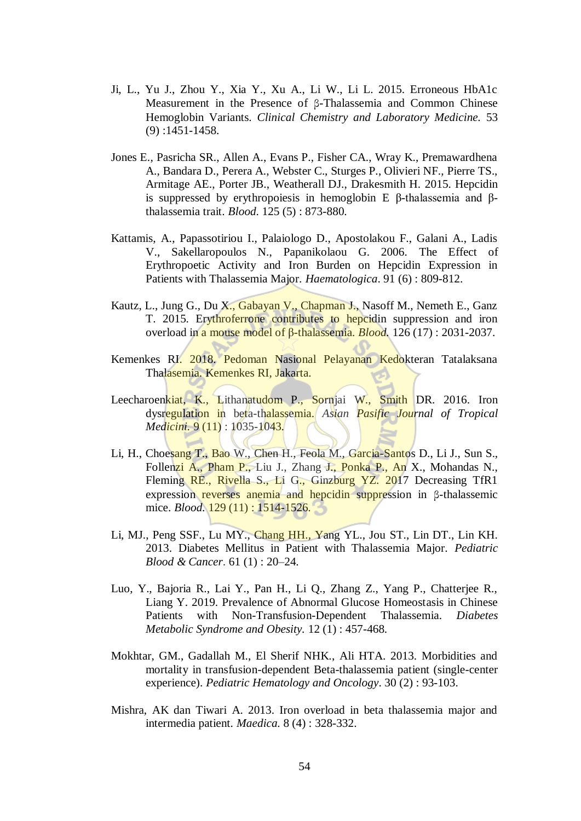- Ji, L., Yu J., Zhou Y., Xia Y., Xu A., Li W., Li L. 2015. Erroneous HbA1c Measurement in the Presence of β-Thalassemia and Common Chinese Hemoglobin Variants. *Clinical Chemistry and Laboratory Medicine.* 53 (9) :1451-1458.
- Jones E., Pasricha SR., Allen A., Evans P., Fisher CA., Wray K., Premawardhena A., Bandara D., Perera A., Webster C., Sturges P., Olivieri NF., Pierre TS., Armitage AE., Porter JB., Weatherall DJ., Drakesmith H. 2015. Hepcidin is suppressed by erythropoiesis in hemoglobin E β-thalassemia and βthalassemia trait. *Blood*. 125 (5) : 873-880.
- Kattamis, A., Papassotiriou I., Palaiologo D., Apostolakou F., Galani A., Ladis V., Sakellaropoulos N., Papanikolaou G. 2006. The Effect of Erythropoetic Activity and Iron Burden on Hepcidin Expression in Patients with Thalassemia Major. *Haematologica*. 91 (6) : 809-812.
- Kautz, L., Jung G., Du X., Gabayan V., Chapman J., Nasoff M., Nemeth E., Ganz T. 2015. Erythroferrone contributes to hepcidin suppression and iron overload in a mouse model of β-thalassemia. *Blood.* 126 (17) : 2031-2037.
- Kemenkes RI. 2018. Pedoman Nasional Pelayanan Kedokteran Tatalaksana Thalasemia. Kemenkes RI, Jakarta.
- Leecharoenkiat, K., Lithanatudom P., Sornjai W., Smith DR. 2016. Iron dysregulation in beta-thalassemia. *Asian Pasific Journal of Tropical Medicini.* 9 (11) : 1035-1043.
- Li, H., Choesang T., Bao W., Chen H., Feola M., Garcia-Santos D., Li J., Sun S., Follenzi A., Pham P., Liu J., Zhang J., Ponka P., An X., Mohandas N., Fleming RE., Rivella S., Li G., Ginzburg YZ. 2017 Decreasing TfR1 expression reverses anemia and hepcidin suppression in β-thalassemic mice. *Blood.* **129** (11) : **1514-1526.**
- Li, MJ., Peng SSF., Lu MY., Chang HH., Yang YL., Jou ST., Lin DT., Lin KH. 2013. Diabetes Mellitus in Patient with Thalassemia Major. *Pediatric Blood & Cancer*. 61 (1) : 20–24.
- Luo, Y., Bajoria R., Lai Y., Pan H., Li Q., Zhang Z., Yang P., Chatterjee R., Liang Y. 2019. Prevalence of Abnormal Glucose Homeostasis in Chinese Patients with Non-Transfusion-Dependent Thalassemia. *Diabetes Metabolic Syndrome and Obesity.* 12 (1) : 457-468.
- Mokhtar, GM., Gadallah M., El Sherif NHK., Ali HTA. 2013. Morbidities and mortality in transfusion-dependent Beta-thalassemia patient (single-center experience). *Pediatric Hematology and Oncology*. 30 (2) : 93-103.
- Mishra, AK dan Tiwari A. 2013. Iron overload in beta thalassemia major and intermedia patient. *Maedica.* 8 (4) : 328-332.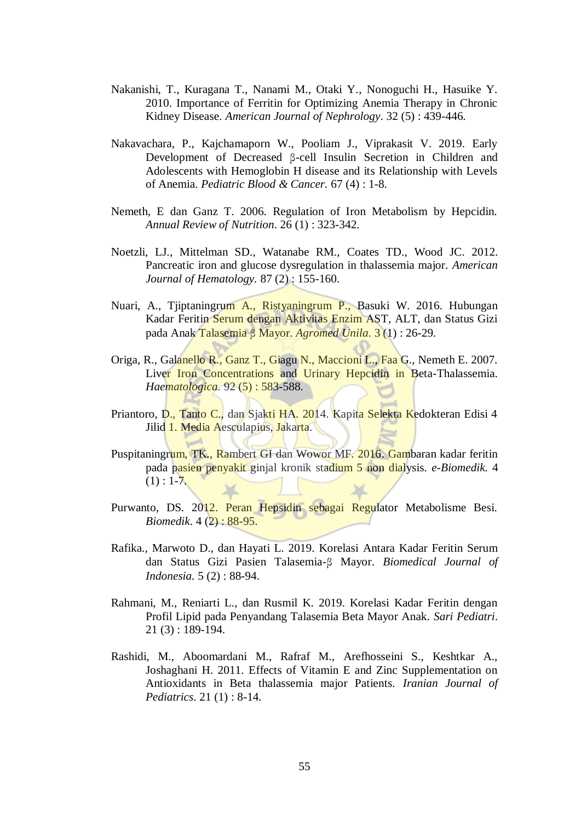- Nakanishi, T., Kuragana T., Nanami M., Otaki Y., Nonoguchi H., Hasuike Y. 2010. Importance of Ferritin for Optimizing Anemia Therapy in Chronic Kidney Disease. *American Journal of Nephrology*. 32 (5) : 439-446.
- Nakavachara, P., Kajchamaporn W., Pooliam J., Viprakasit V. 2019. Early Development of Decreased β-cell Insulin Secretion in Children and Adolescents with Hemoglobin H disease and its Relationship with Levels of Anemia. *Pediatric Blood & Cancer.* 67 (4) : 1-8.
- Nemeth, E dan Ganz T. 2006. Regulation of Iron Metabolism by Hepcidin. *Annual Review of Nutrition*. 26 (1) : 323-342.
- Noetzli, LJ., Mittelman SD., Watanabe RM., Coates TD., Wood JC. 2012. Pancreatic iron and glucose dysregulation in thalassemia major. *American Journal of Hematology.* 87 (2) : 155-160.
- Nuari, A., Tjiptaningrum A., Ristyaningrum P., Basuki W. 2016. Hubungan Kadar Feritin Serum dengan Aktivitas Enzim AST, ALT, dan Status Gizi pada Anak Talasemia β Mayor. *Agromed Unila*. 3 (1) : 26-29.
- Origa, R., Galanello R., Ganz T., Giagu N., Maccioni L., Faa G., Nemeth E. 2007. Liver Iron Concentrations and Urinary Hepcidin in Beta-Thalassemia. *Haematologica.* 92 (5) : 583-588.
- Priantoro, D., Tanto C., dan Sjakti HA. 2014. Kapita Selekta Kedokteran Edisi 4 Jilid 1. Media Aesculapius, Jakarta.
- Puspitaningrum, TK., Rambert GI dan Wowor MF. 2016. Gambaran kadar feritin pada pasien penyakit ginjal kronik stadium 5 non dialysis. *e-Biomedik.* 4  $(1): 1-7.$
- Purwanto, DS. 2012. Peran Hepsidin sebagai Regulator Metabolisme Besi. *Biomedik*. 4 (2) : 88-95.
- Rafika., Marwoto D., dan Hayati L. 2019. Korelasi Antara Kadar Feritin Serum dan Status Gizi Pasien Talasemia-β Mayor. *Biomedical Journal of Indonesia.* 5 (2) : 88-94.
- Rahmani, M., Reniarti L., dan Rusmil K. 2019. Korelasi Kadar Feritin dengan Profil Lipid pada Penyandang Talasemia Beta Mayor Anak. *Sari Pediatri*. 21 (3) : 189-194.
- Rashidi, M., Aboomardani M., Rafraf M., Arefhosseini S., Keshtkar A., Joshaghani H. 2011. Effects of Vitamin E and Zinc Supplementation on Antioxidants in Beta thalassemia major Patients. *Iranian Journal of Pediatrics*. 21 (1) : 8-14.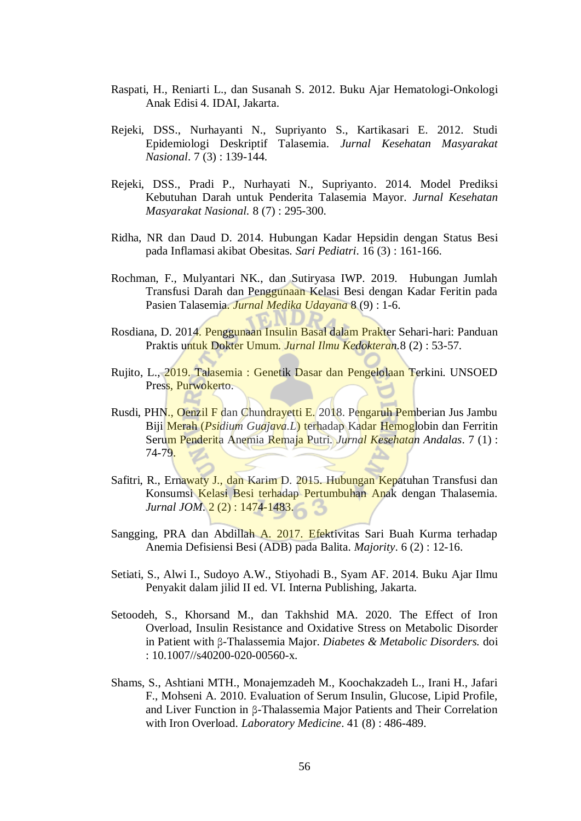- Raspati, H., Reniarti L., dan Susanah S. 2012. Buku Ajar Hematologi-Onkologi Anak Edisi 4. IDAI, Jakarta.
- Rejeki, DSS., Nurhayanti N., Supriyanto S., Kartikasari E. 2012. Studi Epidemiologi Deskriptif Talasemia. *Jurnal Kesehatan Masyarakat Nasional*. 7 (3) : 139-144.
- Rejeki, DSS., Pradi P., Nurhayati N., Supriyanto. 2014. Model Prediksi Kebutuhan Darah untuk Penderita Talasemia Mayor. *Jurnal Kesehatan Masyarakat Nasional.* 8 (7) : 295-300.
- Ridha, NR dan Daud D. 2014. Hubungan Kadar Hepsidin dengan Status Besi pada Inflamasi akibat Obesitas. *Sari Pediatri*. 16 (3) : 161-166.
- Rochman, F., Mulyantari NK., dan Sutiryasa IWP. 2019. Hubungan Jumlah Transfusi Darah dan Penggunaan Kelasi Besi dengan Kadar Feritin pada Pasien Talasemia. *Jurnal Medika Udayana* 8 (9) : 1-6.
- Rosdiana, D. 2014. Penggunaan Insulin Basal dalam Prakter Sehari-hari: Panduan Praktis untuk Dokter Umum. *Jurnal Ilmu Kedokteran.*8 (2) : 53-57.
- Rujito, L., 2019. Talasemia : Genetik Dasar dan Pengelolaan Terkini. UNSOED Press, Purwokerto.
- Rusdi, PHN., Oenzil F dan Chundrayetti E. 2018. Pengaruh Pemberian Jus Jambu Biji Merah (*Psidium Guajava.L*) terhadap Kadar Hemoglobin dan Ferritin Serum Penderita Anemia Remaja Putri. *Jurnal Kesehatan Andalas*. 7 (1) : 74-79.
- Safitri, R., Ernawaty J., dan Karim D. 2015. Hubungan Kepatuhan Transfusi dan Konsumsi Kelasi Besi terhadap Pertumbuhan Anak dengan Thalasemia. *Jurnal JOM.* 2(2): 1474-1483.
- Sangging, PRA dan Abdillah A. 2017. Efektivitas Sari Buah Kurma terhadap Anemia Defisiensi Besi (ADB) pada Balita. *Majority*. 6 (2) : 12-16.
- Setiati, S., Alwi I., Sudoyo A.W., Stiyohadi B., Syam AF. 2014. Buku Ajar Ilmu Penyakit dalam jilid II ed. VI. Interna Publishing, Jakarta.
- Setoodeh, S., Khorsand M., dan Takhshid MA. 2020. The Effect of Iron Overload, Insulin Resistance and Oxidative Stress on Metabolic Disorder in Patient with β-Thalassemia Major. *Diabetes & Metabolic Disorders.* doi : 10.1007//s40200-020-00560-x.
- Shams, S., Ashtiani MTH., Monajemzadeh M., Koochakzadeh L., Irani H., Jafari F., Mohseni A. 2010. Evaluation of Serum Insulin, Glucose, Lipid Profile, and Liver Function in β-Thalassemia Major Patients and Their Correlation with Iron Overload. *Laboratory Medicine*. 41 (8) : 486-489.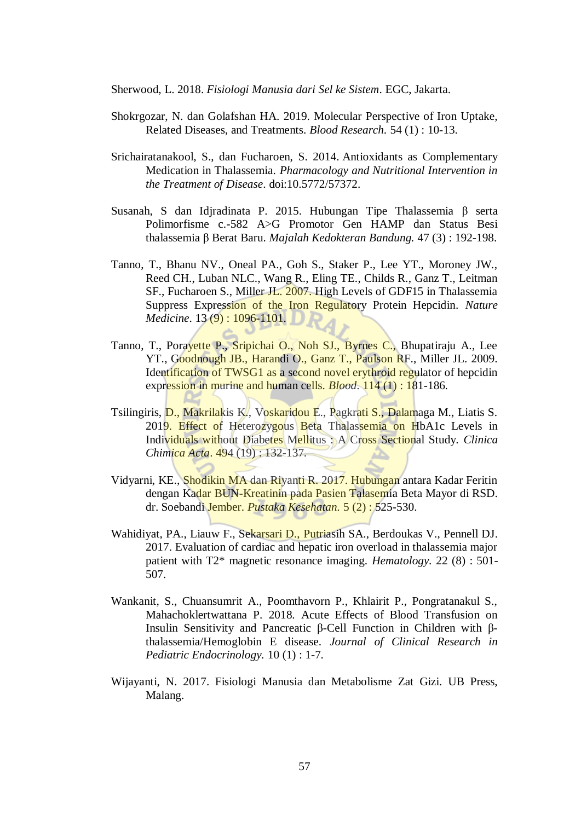Sherwood, L. 2018. *Fisiologi Manusia dari Sel ke Sistem*. EGC, Jakarta.

- Shokrgozar, N. dan Golafshan HA. 2019. Molecular Perspective of Iron Uptake, Related Diseases, and Treatments. *Blood Research.* 54 (1) : 10-13.
- Srichairatanakool, S., dan Fucharoen, S. 2014. Antioxidants as Complementary Medication in Thalassemia. *Pharmacology and Nutritional Intervention in the Treatment of Disease*. doi:10.5772/57372.
- Susanah, S dan Idjradinata P. 2015. Hubungan Tipe Thalassemia β serta Polimorfisme c.-582 A>G Promotor Gen HAMP dan Status Besi thalassemia β Berat Baru. *Majalah Kedokteran Bandung.* 47 (3) : 192-198.
- Tanno, T., Bhanu NV., Oneal PA., Goh S., Staker P., Lee YT., Moroney JW., Reed CH., Luban NLC., Wang R., Eling TE., Childs R., Ganz T., Leitman SF., Fucharoen S., Miller JL. 2007. High Levels of GDF15 in Thalassemia Suppress Expression of the Iron Regulatory Protein Hepcidin. *Nature Medicine.* 13 (9): 1096-1101.
- Tanno, T., Porayette P., Sripichai O., Noh SJ., Byrnes C., Bhupatiraju A., Lee YT., Goodnough JB., Harandi O., Ganz T., Paulson RF., Miller JL. 2009. Identification of TWSG1 as a second novel erythroid regulator of hepcidin expression in murine and human cells. *Blood*. 114 (1) : 181-186.
- Tsilingiris, D., Makrilakis K., Voskaridou E., Pagkrati S., Dalamaga M., Liatis S. 2019. Effect of Heterozygous Beta Thalassemia on HbA1c Levels in Individuals without Diabetes Mellitus : A Cross Sectional Study. *Clinica Chimica Acta*. 494 (19) : 132-137.
- Vidyarni, KE., Shodikin MA dan Riyanti R. 2017. Hubungan antara Kadar Feritin dengan Kadar BUN-Kreatinin pada Pasien Talasemia Beta Mayor di RSD. dr. Soebandi Jember. *Pustaka Kesehatan.* 5 (2) : 525-530.
- Wahidiyat, PA., Liauw F., Sekarsari D., Putriasih SA., Berdoukas V., Pennell DJ. 2017. Evaluation of cardiac and hepatic iron overload in thalassemia major patient with T2\* magnetic resonance imaging. *Hematology.* 22 (8) : 501- 507.
- Wankanit, S., Chuansumrit A., Poomthavorn P., Khlairit P., Pongratanakul S., Mahachoklertwattana P. 2018. Acute Effects of Blood Transfusion on Insulin Sensitivity and Pancreatic β-Cell Function in Children with βthalassemia/Hemoglobin E disease. *Journal of Clinical Research in Pediatric Endocrinology.* 10 (1) : 1-7.
- Wijayanti, N. 2017. Fisiologi Manusia dan Metabolisme Zat Gizi. UB Press, Malang.